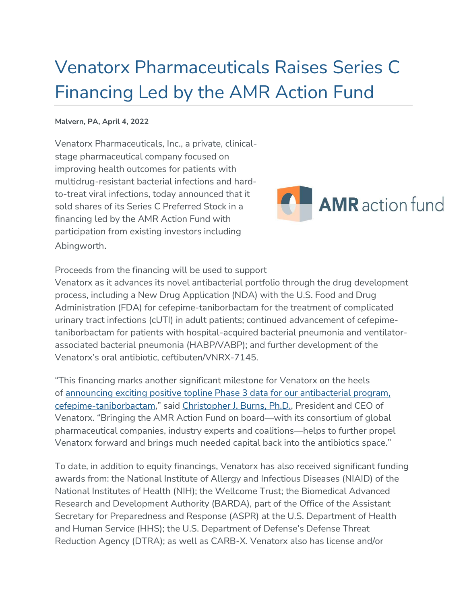# Venatorx Pharmaceuticals Raises Series C Financing Led by the AMR Action Fund

#### **Malvern, PA, April 4, 2022**

Venatorx Pharmaceuticals, Inc., a private, clinicalstage pharmaceutical company focused on improving health outcomes for patients with multidrug-resistant bacterial infections and hardto-treat viral infections, today announced that it sold shares of its Series C Preferred Stock in a financing led by the AMR Action Fund with participation from existing investors including Abingworth.



Proceeds from the financing will be used to support

Venatorx as it advances its novel antibacterial portfolio through the drug development process, including a New Drug Application (NDA) with the U.S. Food and Drug Administration (FDA) for cefepime-taniborbactam for the treatment of complicated urinary tract infections (cUTI) in adult patients; continued advancement of cefepimetaniborbactam for patients with hospital-acquired bacterial pneumonia and ventilatorassociated bacterial pneumonia (HABP/VABP); and further development of the Venatorx's oral antibiotic, ceftibuten/VNRX-7145.

"This financing marks another significant milestone for Venatorx on the heels of [announcing exciting positive topline Phase 3 data for our antibacterial program,](https://www.venatorx.com/press-releases/venatorx-pharmaceuticals-announces-positive-results-for-phase-3-clinical-trial-certain-1-of-cefepime-taniborbactam-for-treatment-of-cuti/)  [cefepime-taniborbactam,](https://www.venatorx.com/press-releases/venatorx-pharmaceuticals-announces-positive-results-for-phase-3-clinical-trial-certain-1-of-cefepime-taniborbactam-for-treatment-of-cuti/)" said [Christopher J. Burns, Ph.D.,](https://www.venatorx.com/leadership/) President and CEO of Venatorx. "Bringing the AMR Action Fund on board—with its consortium of global pharmaceutical companies, industry experts and coalitions—helps to further propel Venatorx forward and brings much needed capital back into the antibiotics space."

To date, in addition to equity financings, Venatorx has also received significant funding awards from: the National Institute of Allergy and Infectious Diseases (NIAID) of the National Institutes of Health (NIH); the Wellcome Trust; the Biomedical Advanced Research and Development Authority (BARDA), part of the Office of the Assistant Secretary for Preparedness and Response (ASPR) at the U.S. Department of Health and Human Service (HHS); the U.S. Department of Defense's Defense Threat Reduction Agency (DTRA); as well as CARB-X. Venatorx also has license and/or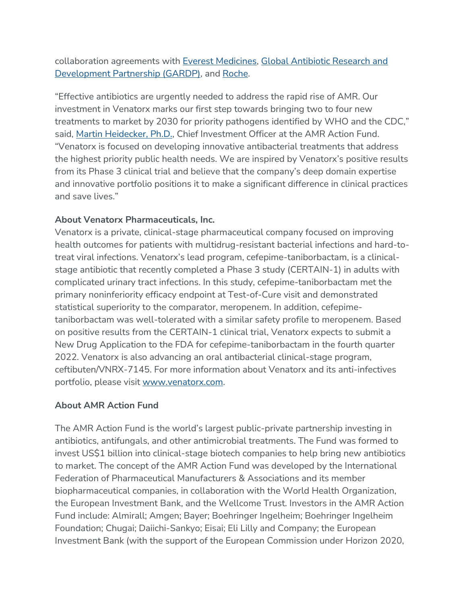collaboration agreements with [Everest Medicines,](https://www.venatorx.com/press-releases/venatorx-pharmaceuticals-and-everest-medicines-ii-limited-announce-exclusive-license-agreement-for-cefepime-vnrx-5133/) [Global Antibiotic Research and](https://www.venatorx.com/press-releases/venatorx-pharmaceuticals-and-gardp-partner-to-develop-new-antibiotic-for-hospital-acquired-infections-with-limited-treatment-options/)  [Development Partnership \(GARDP\),](https://www.venatorx.com/press-releases/venatorx-pharmaceuticals-and-gardp-partner-to-develop-new-antibiotic-for-hospital-acquired-infections-with-limited-treatment-options/) and [Roche.](https://www.venatorx.com/press-releases/venatorx-pharmaceuticals-announces-collaboration-with-roche-to-develop-new-class-of-antibiotics-targeting-who-critical-priority-pathogen/)

"Effective antibiotics are urgently needed to address the rapid rise of AMR. Our investment in Venatorx marks our first step towards bringing two to four new treatments to market by 2030 for priority pathogens identified by WHO and the CDC," said, [Martin Heidecker, Ph.D.,](https://www.amractionfund.com/about-us#page-section-2) Chief Investment Officer at the AMR Action Fund. "Venatorx is focused on developing innovative antibacterial treatments that address the highest priority public health needs. We are inspired by Venatorx's positive results from its Phase 3 clinical trial and believe that the company's deep domain expertise and innovative portfolio positions it to make a significant difference in clinical practices and save lives."

## **About Venatorx Pharmaceuticals, Inc.**

Venatorx is a private, clinical-stage pharmaceutical company focused on improving health outcomes for patients with multidrug-resistant bacterial infections and hard-totreat viral infections. Venatorx's lead program, cefepime-taniborbactam, is a clinicalstage antibiotic that recently completed a Phase 3 study (CERTAIN-1) in adults with complicated urinary tract infections. In this study, cefepime-taniborbactam met the primary noninferiority efficacy endpoint at Test-of-Cure visit and demonstrated statistical superiority to the comparator, meropenem. In addition, cefepimetaniborbactam was well-tolerated with a similar safety profile to meropenem. Based on positive results from the CERTAIN-1 clinical trial, Venatorx expects to submit a New Drug Application to the FDA for cefepime-taniborbactam in the fourth quarter 2022. Venatorx is also advancing an oral antibacterial clinical-stage program, ceftibuten/VNRX-7145. For more information about Venatorx and its anti-infectives portfolio, please visit [www.venatorx.com.](http://www.venatorx.com/)

#### **About AMR Action Fund**

The AMR Action Fund is the world's largest public-private partnership investing in antibiotics, antifungals, and other antimicrobial treatments. The Fund was formed to invest US\$1 billion into clinical-stage biotech companies to help bring new antibiotics to market. The concept of the AMR Action Fund was developed by the International Federation of Pharmaceutical Manufacturers & Associations and its member biopharmaceutical companies, in collaboration with the World Health Organization, the European Investment Bank, and the Wellcome Trust. Investors in the AMR Action Fund include: Almirall; Amgen; Bayer; Boehringer Ingelheim; Boehringer Ingelheim Foundation; Chugai; Daiichi-Sankyo; Eisai; Eli Lilly and Company; the European Investment Bank (with the support of the European Commission under Horizon 2020,